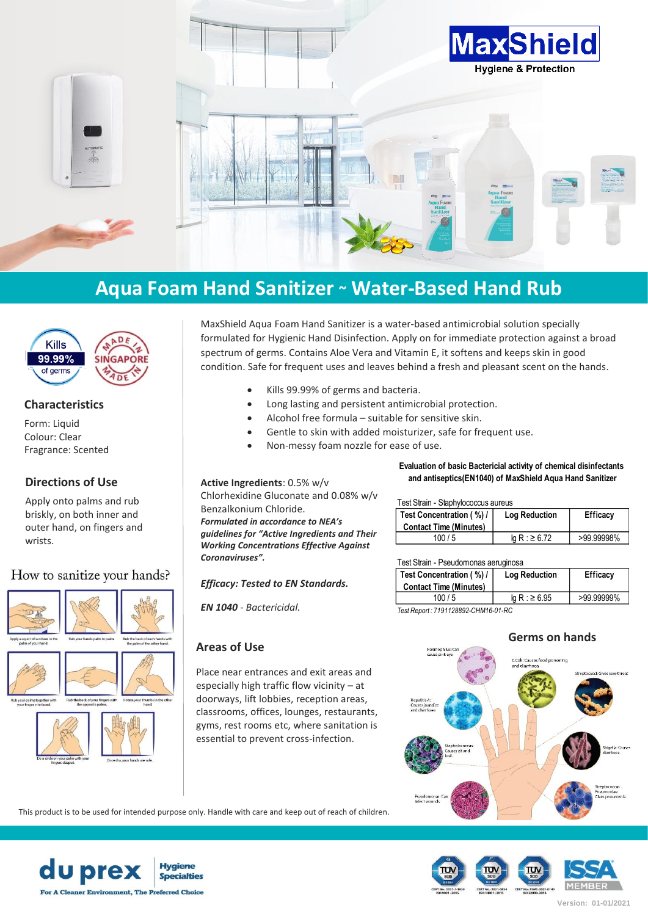

# **Aqua Foam Hand Sanitizer ~ Water-Based Hand Rub**



## **Characteristics**

Form: Liquid Colour: Clear Fragrance: Scented

## **Directions of Use**

Apply onto palms and rub briskly, on both inner and outer hand, on fingers and wrists.

## How to sanitize your hands?



MaxShield Aqua Foam Hand Sanitizer is a water-based antimicrobial solution specially formulated for Hygienic Hand Disinfection. Apply on for immediate protection against a broad spectrum of germs. Contains Aloe Vera and Vitamin E, it softens and keeps skin in good condition. Safe for frequent uses and leaves behind a fresh and pleasant scent on the hands.

- Kills 99.99% of germs and bacteria.
- Long lasting and persistent antimicrobial protection.
- Alcohol free formula suitable for sensitive skin.
	- Gentle to skin with added moisturizer, safe for frequent use.
	- Non-messy foam nozzle for ease of use.

**Active Ingredients**: 0.5% w/v Chlorhexidine Gluconate and 0.08% w/v Benzalkonium Chloride. *Formulated in accordance to NEA's guidelines for "Active Ingredients and Their* 

*Working Concentrations Effective Against* 

*Efficacy: Tested to EN Standards.*

*EN 1040 - Bactericidal.*

## **Areas of Use**

*Coronaviruses".*

Place near entrances and exit areas and especially high traffic flow vicinity – at doorways, lift lobbies, reception areas, classrooms, offices, lounges, restaurants, gyms, rest rooms etc, where sanitation is essential to prevent cross-infection.

### **Evaluation of basic Bactericial activity of chemical disinfectants and antiseptics(EN1040) of MaxShield Aqua Hand Sanitizer**

| Test Concentration (%) /<br><b>Contact Time (Minutes)</b> | <b>Log Reduction</b> | <b>Efficacy</b> |
|-----------------------------------------------------------|----------------------|-----------------|
| 100/5                                                     | la R : ≥ 6.72        | >99.99998%      |

#### Test Strain - Pseudomonas aeruginosa

| Toot Outum Through Honda abragmood   |                      |            |  |  |
|--------------------------------------|----------------------|------------|--|--|
| Test Concentration (%) /             | <b>Log Reduction</b> | Efficacy   |  |  |
| <b>Contact Time (Minutes)</b>        |                      |            |  |  |
| 100/5                                | $lg R$ : ≥ 6.95      | >99.99999% |  |  |
| Test Renort · 7191128892-CHM16-01-RC |                      |            |  |  |

#### *Test Report : 7191128892-CHM16-01-RC*

## **Germs on hands**



This product is to be used for intended purpose only. Handle with care and keep out of reach of children.



**MEMBER Version: 01-01/2021**